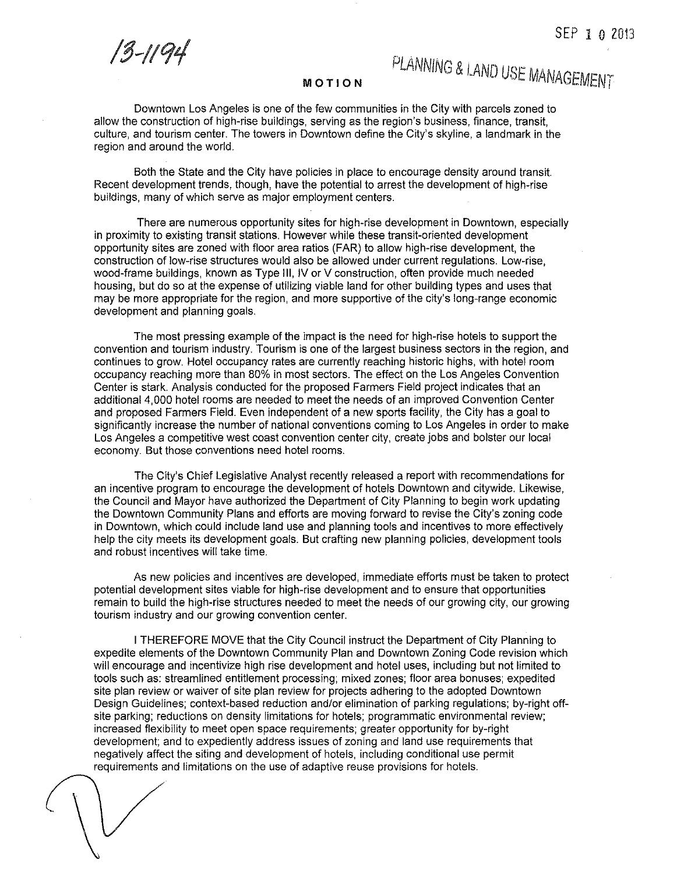*13-1/91*

## *PLANNING* & LAND *USE MANAGEMENT*

## **MOTION**

Downtown Los Angeles is one of the few communities in the City with parcels zoned to allow the construction of high-rise buildings, serving as the region's business, finance, transit, culture, and tourism center. The towers in Downtown define the City's skyline, a landmark in the region and around the world.

Both the State and the City have policies in place to encourage density around transit. Recent development trends, though, have the potential to arrest the development of high-rise buildings, many of which serve as major employment centers.

There are numerous opportunity sites for high-rise development in Downtown, especially in proximity to existing transit stations. However while these transit-oriented development opportunity sites are zoned with floor area ratios (FAR) to allow high-rise development, the construction of low-rise structures would also be allowed under current regulations. Low-rise, wood-frame buildings, known as Type III, IV or V construction, often provide much needed housing, but do so at the expense of utilizing viable land for other building types and uses that may be more appropriate for the region, and more supportive of the city's long-range economic development and planning goals.

The most pressing example of the impact is the need for high-rise hotels to support the convention and tourism industry. Tourism is one of the largest business sectors in the region, and continues to grow. Hotel occupancy rates are currently reaching historic highs, with hotel room occupancy reaching more than 80% in most sectors. The effect on the Los Angeles Convention Center is stark. Analysis conducted for the proposed Farmers Field project indicates that an additional 4,000 hotel rooms are needed to meet the needs of an improved Convention Center and proposed Farmers Field. Even independent of a new sports facility, the City has a goal to significantly increase the number of national conventions coming to Los Angeles in order to make Los Angeles a competitive west coast convention center city, create jobs and bolster our local economy. But those conventions need hotel rooms.

The City's Chief Legislative Analyst recently released a report with recommendations for an incentive program to encourage the development of hotels Downtown and citywide. Likewise, the Council and Mayor have authorized the Department of City Planning to begin work updating the Downtown Community Plans and efforts are moving forward to revise the City's zoning code in Downtown, which could include land use and planning tools and incentives to more effectively help the city meets its development goals. But crafting new planning policies, development tools and robust incentives will take time.

As new policies and incentives are developed, immediate efforts must be taken to protect potential development sites viable for high-rise development and to ensure that opportunities remain to build the high-rise structures needed to meet the needs of our growing city, our growing tourism industry and our growing convention center.

I THEREFORE MOVE that the City Council instruct the Department of City Planning to expedite elements of the Downtown Community Plan and Downtown Zoning Code revision which will encourage and incentivize high rise development and hotel uses, including but not limited to tools such as: streamlined entitlement processing; mixed zones; floor area bonuses; expedited site plan review or waiver of site plan review for projects adhering to the adopted Downtown Design Guidelines; context-based reduction and/or elimination of parking regulations; by-right offsite parking; reductions on density limitations for hotels; programmatic environmental review; increased flexibility to meet open space requirements; greater opportunity for by-right development; and to expediently address issues of zoning and land use requirements that negatively affect the siting and development of hotels, including conditional use permit requirements and limitations on the use of adaptive reuse provisions for hotels.

 $\left\langle \right\rangle$